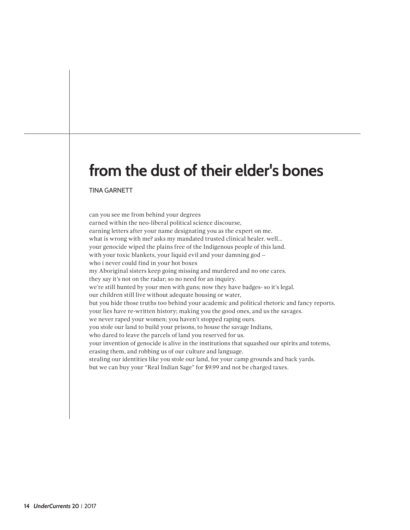## **from the dust of their elder's bones**

TINA GARNETT

can you see me from behind your degrees earned within the neo-liberal political science discourse, earning letters after your name designating you as the expert on me. what is wrong with me? asks my mandated trusted clinical healer. well… your genocide wiped the plains free of the Indigenous people of this land. with your toxic blankets, your liquid evil and your damning god – who i never could find in your hot boxes my Aboriginal sisters keep going missing and murdered and no one cares. they say it's not on the radar; so no need for an inquiry. we're still hunted by your men with guns; now they have badges- so it's legal. our children still live without adequate housing or water, but you hide those truths too behind your academic and political rhetoric and fancy reports. your lies have re-written history; making you the good ones, and us the savages. we never raped your women; you haven't stopped raping ours. you stole our land to build your prisons, to house the savage Indians, who dared to leave the parcels of land you reserved for us. your invention of genocide is alive in the institutions that squashed our spirits and totems, erasing them, and robbing us of our culture and language. stealing our identities like you stole our land, for your camp grounds and back yards. but we can buy your "Real Indian Sage" for \$9.99 and not be charged taxes.